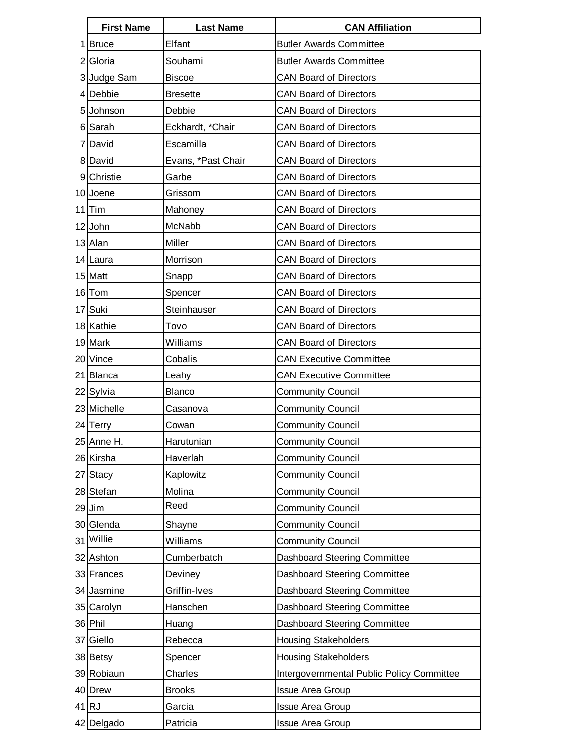| <b>First Name</b> | <b>Last Name</b>   | <b>CAN Affiliation</b>                    |
|-------------------|--------------------|-------------------------------------------|
| 1 Bruce           | Elfant             | <b>Butler Awards Committee</b>            |
| 2 Gloria          | Souhami            | <b>Butler Awards Committee</b>            |
| 3 Judge Sam       | <b>Biscoe</b>      | <b>CAN Board of Directors</b>             |
| 4 Debbie          | <b>Bresette</b>    | <b>CAN Board of Directors</b>             |
| 5 Johnson         | Debbie             | <b>CAN Board of Directors</b>             |
| 6 Sarah           | Eckhardt, *Chair   | <b>CAN Board of Directors</b>             |
| 7 David           | Escamilla          | <b>CAN Board of Directors</b>             |
| 8 David           | Evans, *Past Chair | <b>CAN Board of Directors</b>             |
| 9 Christie        | Garbe              | <b>CAN Board of Directors</b>             |
| 10 Joene          | Grissom            | <b>CAN Board of Directors</b>             |
| $11$  Tim         | Mahoney            | <b>CAN Board of Directors</b>             |
| 12 John           | McNabb             | <b>CAN Board of Directors</b>             |
| 13 Alan           | Miller             | <b>CAN Board of Directors</b>             |
| 14 Laura          | Morrison           | <b>CAN Board of Directors</b>             |
| 15 Matt           | Snapp              | <b>CAN Board of Directors</b>             |
| 16 Tom            | Spencer            | <b>CAN Board of Directors</b>             |
| 17 Suki           | Steinhauser        | <b>CAN Board of Directors</b>             |
| 18 Kathie         | Tovo               | <b>CAN Board of Directors</b>             |
| 19 Mark           | Williams           | <b>CAN Board of Directors</b>             |
| 20 Vince          | Cobalis            | <b>CAN Executive Committee</b>            |
| 21 Blanca         | Leahy              | <b>CAN Executive Committee</b>            |
| 22 Sylvia         | Blanco             | <b>Community Council</b>                  |
| 23 Michelle       | Casanova           | <b>Community Council</b>                  |
| 24 Terry          | Cowan              | <b>Community Council</b>                  |
| 25 Anne H.        | Harutunian         | Community Council                         |
| 26 Kirsha         | Haverlah           | <b>Community Council</b>                  |
| 27 Stacy          | Kaplowitz          | <b>Community Council</b>                  |
| 28 Stefan         | Molina             | <b>Community Council</b>                  |
| 29 Jim            | Reed               | <b>Community Council</b>                  |
| 30 Glenda         | Shayne             | <b>Community Council</b>                  |
| 31 Willie         | Williams           | <b>Community Council</b>                  |
| 32 Ashton         | Cumberbatch        | Dashboard Steering Committee              |
| 33 Frances        | Deviney            | Dashboard Steering Committee              |
| 34 Jasmine        | Griffin-Ives       | Dashboard Steering Committee              |
| 35 Carolyn        | Hanschen           | Dashboard Steering Committee              |
| 36 Phil           | Huang              | Dashboard Steering Committee              |
| 37 Giello         | Rebecca            | <b>Housing Stakeholders</b>               |
| 38 Betsy          | Spencer            | <b>Housing Stakeholders</b>               |
| 39 Robiaun        | Charles            | Intergovernmental Public Policy Committee |
| 40 Drew           | <b>Brooks</b>      | <b>Issue Area Group</b>                   |
| $41$ RJ           | Garcia             | <b>Issue Area Group</b>                   |
| 42 Delgado        | Patricia           | <b>Issue Area Group</b>                   |